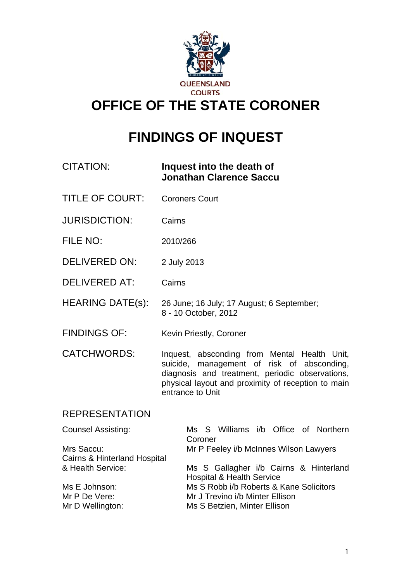

# **FINDINGS OF INQUEST**

| CITATION: | Inquest into the death of      |
|-----------|--------------------------------|
|           | <b>Jonathan Clarence Saccu</b> |

- TITLE OF COURT: Coroners Court
- JURISDICTION: Cairns
- FILE NO: 2010/266
- DELIVERED ON: 2 July 2013
- DELIVERED AT: Cairns
- HEARING DATE(s): 26 June; 16 July; 17 August; 6 September; 8 - 10 October, 2012
- FINDINGS OF: Kevin Priestly, Coroner
- CATCHWORDS: Inquest, absconding from Mental Health Unit, suicide, management of risk of absconding, diagnosis and treatment, periodic observations, physical layout and proximity of reception to main entrance to Unit

## REPRESENTATION

| <b>Counsel Assisting:</b>               | Ms S Williams i/b Office of Northern<br>Coroner |
|-----------------------------------------|-------------------------------------------------|
| Mrs Saccu:                              | Mr P Feeley i/b McInnes Wilson Lawyers          |
| <b>Cairns &amp; Hinterland Hospital</b> |                                                 |
| & Health Service:                       | Ms S Gallagher i/b Cairns & Hinterland          |
|                                         | <b>Hospital &amp; Health Service</b>            |
| Ms E Johnson:                           | Ms S Robb i/b Roberts & Kane Solicitors         |
| Mr P De Vere:                           | Mr J Trevino i/b Minter Ellison                 |
| Mr D Wellington:                        | Ms S Betzien, Minter Ellison                    |
|                                         |                                                 |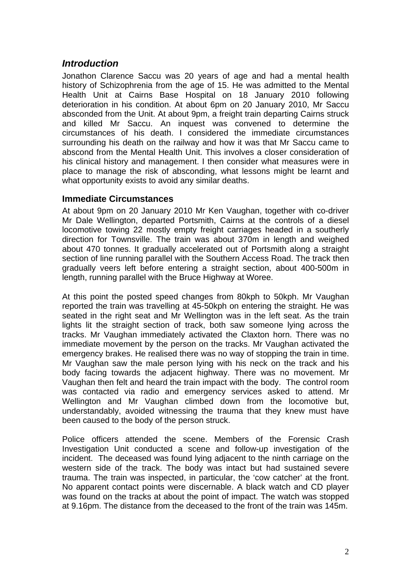## *Introduction*

Jonathon Clarence Saccu was 20 years of age and had a mental health history of Schizophrenia from the age of 15. He was admitted to the Mental Health Unit at Cairns Base Hospital on 18 January 2010 following deterioration in his condition. At about 6pm on 20 January 2010, Mr Saccu absconded from the Unit. At about 9pm, a freight train departing Cairns struck and killed Mr Saccu. An inquest was convened to determine the circumstances of his death. I considered the immediate circumstances surrounding his death on the railway and how it was that Mr Saccu came to abscond from the Mental Health Unit. This involves a closer consideration of his clinical history and management. I then consider what measures were in place to manage the risk of absconding, what lessons might be learnt and what opportunity exists to avoid any similar deaths.

#### **Immediate Circumstances**

At about 9pm on 20 January 2010 Mr Ken Vaughan, together with co-driver Mr Dale Wellington, departed Portsmith, Cairns at the controls of a diesel locomotive towing 22 mostly empty freight carriages headed in a southerly direction for Townsville. The train was about 370m in length and weighed about 470 tonnes. It gradually accelerated out of Portsmith along a straight section of line running parallel with the Southern Access Road. The track then gradually veers left before entering a straight section, about 400-500m in length, running parallel with the Bruce Highway at Woree.

At this point the posted speed changes from 80kph to 50kph. Mr Vaughan reported the train was travelling at 45-50kph on entering the straight. He was seated in the right seat and Mr Wellington was in the left seat. As the train lights lit the straight section of track, both saw someone lying across the tracks. Mr Vaughan immediately activated the Claxton horn. There was no immediate movement by the person on the tracks. Mr Vaughan activated the emergency brakes. He realised there was no way of stopping the train in time. Mr Vaughan saw the male person lying with his neck on the track and his body facing towards the adjacent highway. There was no movement. Mr Vaughan then felt and heard the train impact with the body. The control room was contacted via radio and emergency services asked to attend. Mr Wellington and Mr Vaughan climbed down from the locomotive but, understandably, avoided witnessing the trauma that they knew must have been caused to the body of the person struck.

Police officers attended the scene. Members of the Forensic Crash Investigation Unit conducted a scene and follow-up investigation of the incident. The deceased was found lying adjacent to the ninth carriage on the western side of the track. The body was intact but had sustained severe trauma. The train was inspected, in particular, the 'cow catcher' at the front. No apparent contact points were discernable. A black watch and CD player was found on the tracks at about the point of impact. The watch was stopped at 9.16pm. The distance from the deceased to the front of the train was 145m.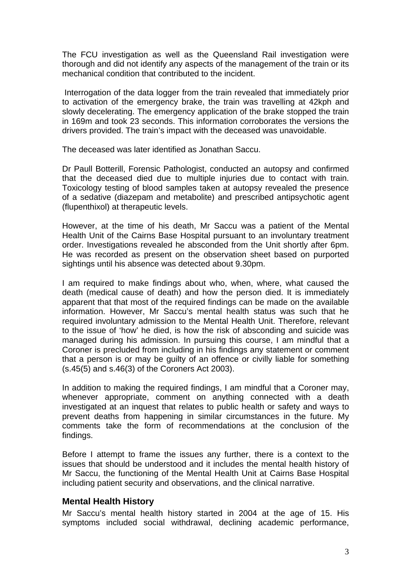The FCU investigation as well as the Queensland Rail investigation were thorough and did not identify any aspects of the management of the train or its mechanical condition that contributed to the incident.

 Interrogation of the data logger from the train revealed that immediately prior to activation of the emergency brake, the train was travelling at 42kph and slowly decelerating. The emergency application of the brake stopped the train in 169m and took 23 seconds. This information corroborates the versions the drivers provided. The train's impact with the deceased was unavoidable.

The deceased was later identified as Jonathan Saccu.

Dr Paull Botterill, Forensic Pathologist, conducted an autopsy and confirmed that the deceased died due to multiple injuries due to contact with train. Toxicology testing of blood samples taken at autopsy revealed the presence of a sedative (diazepam and metabolite) and prescribed antipsychotic agent (flupenthixol) at therapeutic levels.

However, at the time of his death, Mr Saccu was a patient of the Mental Health Unit of the Cairns Base Hospital pursuant to an involuntary treatment order. Investigations revealed he absconded from the Unit shortly after 6pm. He was recorded as present on the observation sheet based on purported sightings until his absence was detected about 9.30pm.

I am required to make findings about who, when, where, what caused the death (medical cause of death) and how the person died. It is immediately apparent that that most of the required findings can be made on the available information. However, Mr Saccu's mental health status was such that he required involuntary admission to the Mental Health Unit. Therefore, relevant to the issue of 'how' he died, is how the risk of absconding and suicide was managed during his admission. In pursuing this course, I am mindful that a Coroner is precluded from including in his findings any statement or comment that a person is or may be guilty of an offence or civilly liable for something (s.45(5) and s.46(3) of the Coroners Act 2003).

In addition to making the required findings, I am mindful that a Coroner may, whenever appropriate, comment on anything connected with a death investigated at an inquest that relates to public health or safety and ways to prevent deaths from happening in similar circumstances in the future. My comments take the form of recommendations at the conclusion of the findings.

Before I attempt to frame the issues any further, there is a context to the issues that should be understood and it includes the mental health history of Mr Saccu, the functioning of the Mental Health Unit at Cairns Base Hospital including patient security and observations, and the clinical narrative.

#### **Mental Health History**

Mr Saccu's mental health history started in 2004 at the age of 15. His symptoms included social withdrawal, declining academic performance,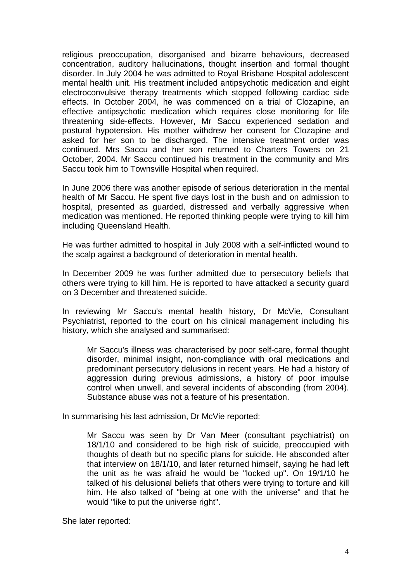religious preoccupation, disorganised and bizarre behaviours, decreased concentration, auditory hallucinations, thought insertion and formal thought disorder. In July 2004 he was admitted to Royal Brisbane Hospital adolescent mental health unit. His treatment included antipsychotic medication and eight electroconvulsive therapy treatments which stopped following cardiac side effects. In October 2004, he was commenced on a trial of Clozapine, an effective antipsychotic medication which requires close monitoring for life threatening side-effects. However, Mr Saccu experienced sedation and postural hypotension. His mother withdrew her consent for Clozapine and asked for her son to be discharged. The intensive treatment order was continued. Mrs Saccu and her son returned to Charters Towers on 21 October, 2004. Mr Saccu continued his treatment in the community and Mrs Saccu took him to Townsville Hospital when required.

In June 2006 there was another episode of serious deterioration in the mental health of Mr Saccu. He spent five days lost in the bush and on admission to hospital, presented as guarded, distressed and verbally aggressive when medication was mentioned. He reported thinking people were trying to kill him including Queensland Health.

He was further admitted to hospital in July 2008 with a self-inflicted wound to the scalp against a background of deterioration in mental health.

In December 2009 he was further admitted due to persecutory beliefs that others were trying to kill him. He is reported to have attacked a security guard on 3 December and threatened suicide.

In reviewing Mr Saccu's mental health history, Dr McVie, Consultant Psychiatrist, reported to the court on his clinical management including his history, which she analysed and summarised:

Mr Saccu's illness was characterised by poor self-care, formal thought disorder, minimal insight, non-compliance with oral medications and predominant persecutory delusions in recent years. He had a history of aggression during previous admissions, a history of poor impulse control when unwell, and several incidents of absconding (from 2004). Substance abuse was not a feature of his presentation.

In summarising his last admission, Dr McVie reported:

Mr Saccu was seen by Dr Van Meer (consultant psychiatrist) on 18/1/10 and considered to be high risk of suicide, preoccupied with thoughts of death but no specific plans for suicide. He absconded after that interview on 18/1/10, and later returned himself, saying he had left the unit as he was afraid he would be "locked up". On 19/1/10 he talked of his delusional beliefs that others were trying to torture and kill him. He also talked of "being at one with the universe" and that he would "like to put the universe right".

She later reported: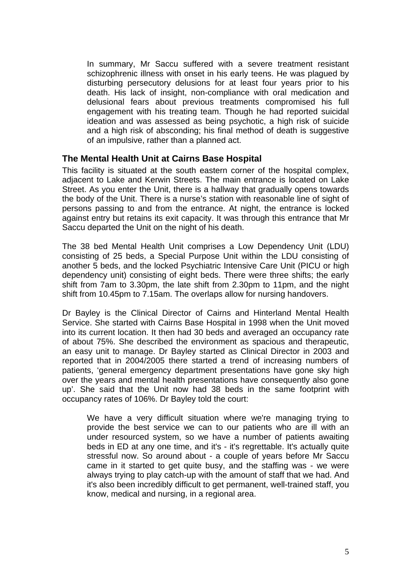In summary, Mr Saccu suffered with a severe treatment resistant schizophrenic illness with onset in his early teens. He was plagued by disturbing persecutory delusions for at least four years prior to his death. His lack of insight, non-compliance with oral medication and delusional fears about previous treatments compromised his full engagement with his treating team. Though he had reported suicidal ideation and was assessed as being psychotic, a high risk of suicide and a high risk of absconding; his final method of death is suggestive of an impulsive, rather than a planned act.

#### **The Mental Health Unit at Cairns Base Hospital**

This facility is situated at the south eastern corner of the hospital complex, adjacent to Lake and Kerwin Streets. The main entrance is located on Lake Street. As you enter the Unit, there is a hallway that gradually opens towards the body of the Unit. There is a nurse's station with reasonable line of sight of persons passing to and from the entrance. At night, the entrance is locked against entry but retains its exit capacity. It was through this entrance that Mr Saccu departed the Unit on the night of his death.

The 38 bed Mental Health Unit comprises a Low Dependency Unit (LDU) consisting of 25 beds, a Special Purpose Unit within the LDU consisting of another 5 beds, and the locked Psychiatric Intensive Care Unit (PICU or high dependency unit) consisting of eight beds. There were three shifts; the early shift from 7am to 3.30pm, the late shift from 2.30pm to 11pm, and the night shift from 10.45pm to 7.15am. The overlaps allow for nursing handovers.

Dr Bayley is the Clinical Director of Cairns and Hinterland Mental Health Service. She started with Cairns Base Hospital in 1998 when the Unit moved into its current location. It then had 30 beds and averaged an occupancy rate of about 75%. She described the environment as spacious and therapeutic, an easy unit to manage. Dr Bayley started as Clinical Director in 2003 and reported that in 2004/2005 there started a trend of increasing numbers of patients, 'general emergency department presentations have gone sky high over the years and mental health presentations have consequently also gone up'. She said that the Unit now had 38 beds in the same footprint with occupancy rates of 106%. Dr Bayley told the court:

We have a very difficult situation where we're managing trying to provide the best service we can to our patients who are ill with an under resourced system, so we have a number of patients awaiting beds in ED at any one time, and it's - it's regrettable. It's actually quite stressful now. So around about - a couple of years before Mr Saccu came in it started to get quite busy, and the staffing was - we were always trying to play catch-up with the amount of staff that we had. And it's also been incredibly difficult to get permanent, well-trained staff, you know, medical and nursing, in a regional area.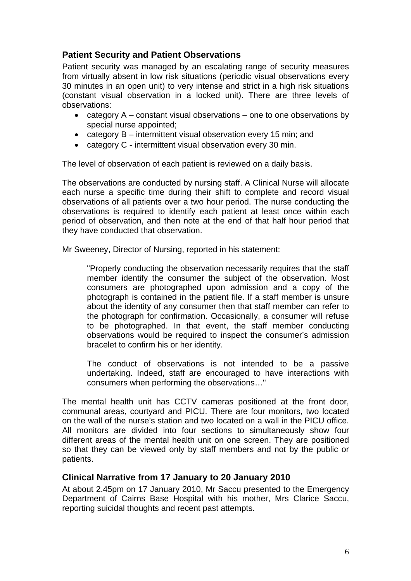## **Patient Security and Patient Observations**

Patient security was managed by an escalating range of security measures from virtually absent in low risk situations (periodic visual observations every 30 minutes in an open unit) to very intense and strict in a high risk situations (constant visual observation in a locked unit). There are three levels of observations:

- category  $A$  constant visual observations one to one observations by special nurse appointed;
- category B intermittent visual observation every 15 min; and
- category C intermittent visual observation every 30 min.

The level of observation of each patient is reviewed on a daily basis.

The observations are conducted by nursing staff. A Clinical Nurse will allocate each nurse a specific time during their shift to complete and record visual observations of all patients over a two hour period. The nurse conducting the observations is required to identify each patient at least once within each period of observation, and then note at the end of that half hour period that they have conducted that observation.

Mr Sweeney, Director of Nursing, reported in his statement:

"Properly conducting the observation necessarily requires that the staff member identify the consumer the subject of the observation. Most consumers are photographed upon admission and a copy of the photograph is contained in the patient file. If a staff member is unsure about the identity of any consumer then that staff member can refer to the photograph for confirmation. Occasionally, a consumer will refuse to be photographed. In that event, the staff member conducting observations would be required to inspect the consumer's admission bracelet to confirm his or her identity.

The conduct of observations is not intended to be a passive undertaking. Indeed, staff are encouraged to have interactions with consumers when performing the observations…"

The mental health unit has CCTV cameras positioned at the front door, communal areas, courtyard and PICU. There are four monitors, two located on the wall of the nurse's station and two located on a wall in the PICU office. All monitors are divided into four sections to simultaneously show four different areas of the mental health unit on one screen. They are positioned so that they can be viewed only by staff members and not by the public or patients.

#### **Clinical Narrative from 17 January to 20 January 2010**

At about 2.45pm on 17 January 2010, Mr Saccu presented to the Emergency Department of Cairns Base Hospital with his mother, Mrs Clarice Saccu, reporting suicidal thoughts and recent past attempts.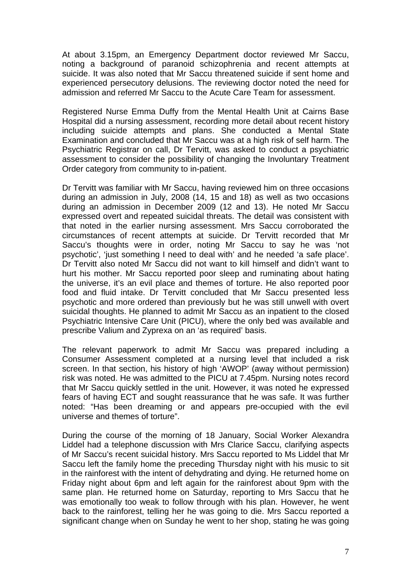At about 3.15pm, an Emergency Department doctor reviewed Mr Saccu, noting a background of paranoid schizophrenia and recent attempts at suicide. It was also noted that Mr Saccu threatened suicide if sent home and experienced persecutory delusions. The reviewing doctor noted the need for admission and referred Mr Saccu to the Acute Care Team for assessment.

Registered Nurse Emma Duffy from the Mental Health Unit at Cairns Base Hospital did a nursing assessment, recording more detail about recent history including suicide attempts and plans. She conducted a Mental State Examination and concluded that Mr Saccu was at a high risk of self harm. The Psychiatric Registrar on call, Dr Tervitt, was asked to conduct a psychiatric assessment to consider the possibility of changing the Involuntary Treatment Order category from community to in-patient.

Dr Tervitt was familiar with Mr Saccu, having reviewed him on three occasions during an admission in July, 2008 (14, 15 and 18) as well as two occasions during an admission in December 2009 (12 and 13). He noted Mr Saccu expressed overt and repeated suicidal threats. The detail was consistent with that noted in the earlier nursing assessment. Mrs Saccu corroborated the circumstances of recent attempts at suicide. Dr Tervitt recorded that Mr Saccu's thoughts were in order, noting Mr Saccu to say he was 'not psychotic', 'just something I need to deal with' and he needed 'a safe place'. Dr Tervitt also noted Mr Saccu did not want to kill himself and didn't want to hurt his mother. Mr Saccu reported poor sleep and ruminating about hating the universe, it's an evil place and themes of torture. He also reported poor food and fluid intake. Dr Tervitt concluded that Mr Saccu presented less psychotic and more ordered than previously but he was still unwell with overt suicidal thoughts. He planned to admit Mr Saccu as an inpatient to the closed Psychiatric Intensive Care Unit (PICU), where the only bed was available and prescribe Valium and Zyprexa on an 'as required' basis.

The relevant paperwork to admit Mr Saccu was prepared including a Consumer Assessment completed at a nursing level that included a risk screen. In that section, his history of high 'AWOP' (away without permission) risk was noted. He was admitted to the PICU at 7.45pm. Nursing notes record that Mr Saccu quickly settled in the unit. However, it was noted he expressed fears of having ECT and sought reassurance that he was safe. It was further noted: "Has been dreaming or and appears pre-occupied with the evil universe and themes of torture".

During the course of the morning of 18 January, Social Worker Alexandra Liddel had a telephone discussion with Mrs Clarice Saccu, clarifying aspects of Mr Saccu's recent suicidal history. Mrs Saccu reported to Ms Liddel that Mr Saccu left the family home the preceding Thursday night with his music to sit in the rainforest with the intent of dehydrating and dying. He returned home on Friday night about 6pm and left again for the rainforest about 9pm with the same plan. He returned home on Saturday, reporting to Mrs Saccu that he was emotionally too weak to follow through with his plan. However, he went back to the rainforest, telling her he was going to die. Mrs Saccu reported a significant change when on Sunday he went to her shop, stating he was going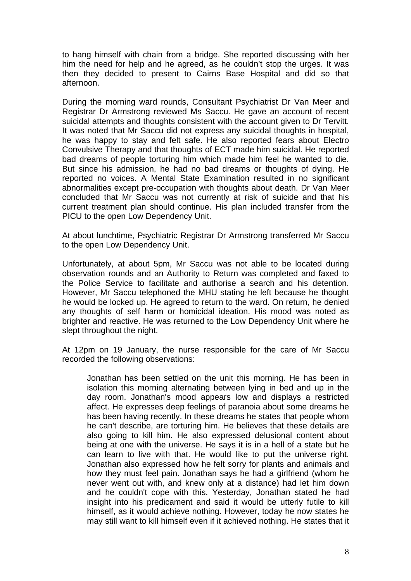to hang himself with chain from a bridge. She reported discussing with her him the need for help and he agreed, as he couldn't stop the urges. It was then they decided to present to Cairns Base Hospital and did so that afternoon.

During the morning ward rounds, Consultant Psychiatrist Dr Van Meer and Registrar Dr Armstrong reviewed Ms Saccu. He gave an account of recent suicidal attempts and thoughts consistent with the account given to Dr Tervitt. It was noted that Mr Saccu did not express any suicidal thoughts in hospital, he was happy to stay and felt safe. He also reported fears about Electro Convulsive Therapy and that thoughts of ECT made him suicidal. He reported bad dreams of people torturing him which made him feel he wanted to die. But since his admission, he had no bad dreams or thoughts of dying. He reported no voices. A Mental State Examination resulted in no significant abnormalities except pre-occupation with thoughts about death. Dr Van Meer concluded that Mr Saccu was not currently at risk of suicide and that his current treatment plan should continue. His plan included transfer from the PICU to the open Low Dependency Unit.

At about lunchtime, Psychiatric Registrar Dr Armstrong transferred Mr Saccu to the open Low Dependency Unit.

Unfortunately, at about 5pm, Mr Saccu was not able to be located during observation rounds and an Authority to Return was completed and faxed to the Police Service to facilitate and authorise a search and his detention. However, Mr Saccu telephoned the MHU stating he left because he thought he would be locked up. He agreed to return to the ward. On return, he denied any thoughts of self harm or homicidal ideation. His mood was noted as brighter and reactive. He was returned to the Low Dependency Unit where he slept throughout the night.

At 12pm on 19 January, the nurse responsible for the care of Mr Saccu recorded the following observations:

Jonathan has been settled on the unit this morning. He has been in isolation this morning alternating between lying in bed and up in the day room. Jonathan's mood appears low and displays a restricted affect. He expresses deep feelings of paranoia about some dreams he has been having recently. In these dreams he states that people whom he can't describe, are torturing him. He believes that these details are also going to kill him. He also expressed delusional content about being at one with the universe. He says it is in a hell of a state but he can learn to live with that. He would like to put the universe right. Jonathan also expressed how he felt sorry for plants and animals and how they must feel pain. Jonathan says he had a girlfriend (whom he never went out with, and knew only at a distance) had let him down and he couldn't cope with this. Yesterday, Jonathan stated he had insight into his predicament and said it would be utterly futile to kill himself, as it would achieve nothing. However, today he now states he may still want to kill himself even if it achieved nothing. He states that it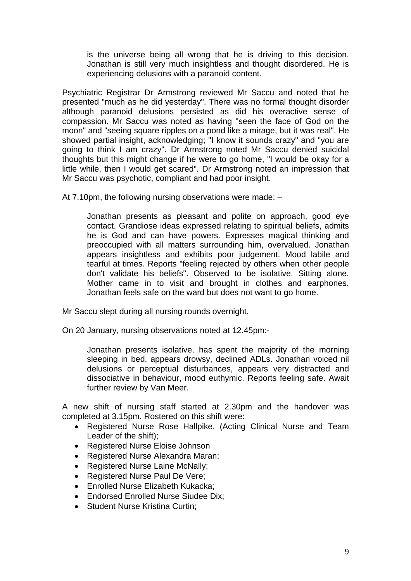is the universe being all wrong that he is driving to this decision. Jonathan is still very much insightless and thought disordered. He is experiencing delusions with a paranoid content.

Psychiatric Registrar Dr Armstrong reviewed Mr Saccu and noted that he presented "much as he did yesterday". There was no formal thought disorder although paranoid delusions persisted as did his overactive sense of compassion. Mr Saccu was noted as having "seen the face of God on the moon" and "seeing square ripples on a pond like a mirage, but it was real". He showed partial insight, acknowledging; "I know it sounds crazy" and "you are going to think I am crazy". Dr Armstrong noted Mr Saccu denied suicidal thoughts but this might change if he were to go home, "I would be okay for a little while, then I would get scared". Dr Armstrong noted an impression that Mr Saccu was psychotic, compliant and had poor insight.

At 7.10pm, the following nursing observations were made: –

Jonathan presents as pleasant and polite on approach, good eye contact. Grandiose ideas expressed relating to spiritual beliefs, admits he is God and can have powers. Expresses magical thinking and preoccupied with all matters surrounding him, overvalued. Jonathan appears insightless and exhibits poor judgement. Mood labile and tearful at times. Reports "feeling rejected by others when other people don't validate his beliefs". Observed to be isolative. Sitting alone. Mother came in to visit and brought in clothes and earphones. Jonathan feels safe on the ward but does not want to go home.

Mr Saccu slept during all nursing rounds overnight.

On 20 January, nursing observations noted at 12.45pm:-

Jonathan presents isolative, has spent the majority of the morning sleeping in bed, appears drowsy, declined ADLs. Jonathan voiced nil delusions or perceptual disturbances, appears very distracted and dissociative in behaviour, mood euthymic. Reports feeling safe. Await further review by Van Meer.

A new shift of nursing staff started at 2.30pm and the handover was completed at 3.15pm. Rostered on this shift were:

- Registered Nurse Rose Hallpike, (Acting Clinical Nurse and Team Leader of the shift);
- Registered Nurse Eloise Johnson
- Registered Nurse Alexandra Maran;
- Registered Nurse Laine McNally;
- Registered Nurse Paul De Vere;
- Enrolled Nurse Elizabeth Kukacka;
- Endorsed Enrolled Nurse Siudee Dix;
- Student Nurse Kristina Curtin: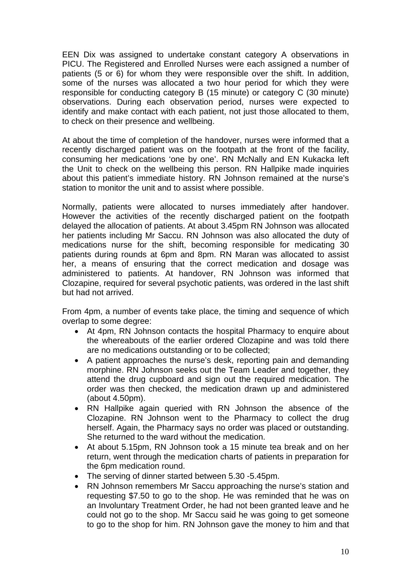EEN Dix was assigned to undertake constant category A observations in PICU. The Registered and Enrolled Nurses were each assigned a number of patients (5 or 6) for whom they were responsible over the shift. In addition, some of the nurses was allocated a two hour period for which they were responsible for conducting category B (15 minute) or category C (30 minute) observations. During each observation period, nurses were expected to identify and make contact with each patient, not just those allocated to them. to check on their presence and wellbeing.

At about the time of completion of the handover, nurses were informed that a recently discharged patient was on the footpath at the front of the facility, consuming her medications 'one by one'. RN McNally and EN Kukacka left the Unit to check on the wellbeing this person. RN Hallpike made inquiries about this patient's immediate history. RN Johnson remained at the nurse's station to monitor the unit and to assist where possible.

Normally, patients were allocated to nurses immediately after handover. However the activities of the recently discharged patient on the footpath delayed the allocation of patients. At about 3.45pm RN Johnson was allocated her patients including Mr Saccu. RN Johnson was also allocated the duty of medications nurse for the shift, becoming responsible for medicating 30 patients during rounds at 6pm and 8pm. RN Maran was allocated to assist her, a means of ensuring that the correct medication and dosage was administered to patients. At handover, RN Johnson was informed that Clozapine, required for several psychotic patients, was ordered in the last shift but had not arrived.

From 4pm, a number of events take place, the timing and sequence of which overlap to some degree:

- At 4pm, RN Johnson contacts the hospital Pharmacy to enquire about the whereabouts of the earlier ordered Clozapine and was told there are no medications outstanding or to be collected;
- A patient approaches the nurse's desk, reporting pain and demanding morphine. RN Johnson seeks out the Team Leader and together, they attend the drug cupboard and sign out the required medication. The order was then checked, the medication drawn up and administered (about 4.50pm).
- RN Hallpike again queried with RN Johnson the absence of the Clozapine. RN Johnson went to the Pharmacy to collect the drug herself. Again, the Pharmacy says no order was placed or outstanding. She returned to the ward without the medication.
- At about 5.15pm, RN Johnson took a 15 minute tea break and on her return, went through the medication charts of patients in preparation for the 6pm medication round.
- The serving of dinner started between 5.30 -5.45pm.
- RN Johnson remembers Mr Saccu approaching the nurse's station and requesting \$7.50 to go to the shop. He was reminded that he was on an Involuntary Treatment Order, he had not been granted leave and he could not go to the shop. Mr Saccu said he was going to get someone to go to the shop for him. RN Johnson gave the money to him and that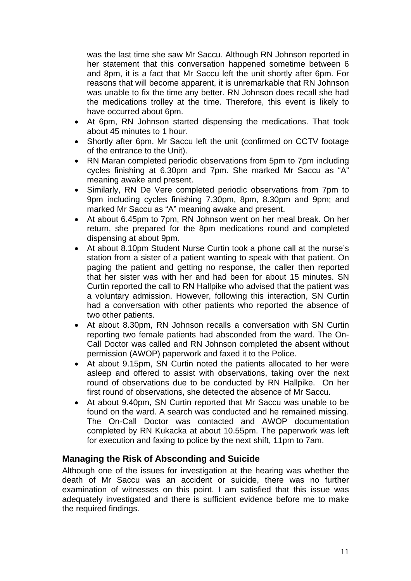was the last time she saw Mr Saccu. Although RN Johnson reported in her statement that this conversation happened sometime between 6 and 8pm, it is a fact that Mr Saccu left the unit shortly after 6pm. For reasons that will become apparent, it is unremarkable that RN Johnson was unable to fix the time any better. RN Johnson does recall she had the medications trolley at the time. Therefore, this event is likely to have occurred about 6pm.

- At 6pm, RN Johnson started dispensing the medications. That took about 45 minutes to 1 hour.
- Shortly after 6pm, Mr Saccu left the unit (confirmed on CCTV footage of the entrance to the Unit).
- RN Maran completed periodic observations from 5pm to 7pm including cycles finishing at 6.30pm and 7pm. She marked Mr Saccu as "A" meaning awake and present.
- Similarly, RN De Vere completed periodic observations from 7pm to 9pm including cycles finishing 7.30pm, 8pm, 8.30pm and 9pm; and marked Mr Saccu as "A" meaning awake and present.
- At about 6.45pm to 7pm, RN Johnson went on her meal break. On her return, she prepared for the 8pm medications round and completed dispensing at about 9pm.
- At about 8.10pm Student Nurse Curtin took a phone call at the nurse's station from a sister of a patient wanting to speak with that patient. On paging the patient and getting no response, the caller then reported that her sister was with her and had been for about 15 minutes. SN Curtin reported the call to RN Hallpike who advised that the patient was a voluntary admission. However, following this interaction, SN Curtin had a conversation with other patients who reported the absence of two other patients.
- At about 8.30pm, RN Johnson recalls a conversation with SN Curtin reporting two female patients had absconded from the ward. The On-Call Doctor was called and RN Johnson completed the absent without permission (AWOP) paperwork and faxed it to the Police.
- At about 9.15pm, SN Curtin noted the patients allocated to her were asleep and offered to assist with observations, taking over the next round of observations due to be conducted by RN Hallpike. On her first round of observations, she detected the absence of Mr Saccu.
- At about 9.40pm, SN Curtin reported that Mr Saccu was unable to be found on the ward. A search was conducted and he remained missing. The On-Call Doctor was contacted and AWOP documentation completed by RN Kukacka at about 10.55pm. The paperwork was left for execution and faxing to police by the next shift, 11pm to 7am.

#### **Managing the Risk of Absconding and Suicide**

Although one of the issues for investigation at the hearing was whether the death of Mr Saccu was an accident or suicide, there was no further examination of witnesses on this point. I am satisfied that this issue was adequately investigated and there is sufficient evidence before me to make the required findings.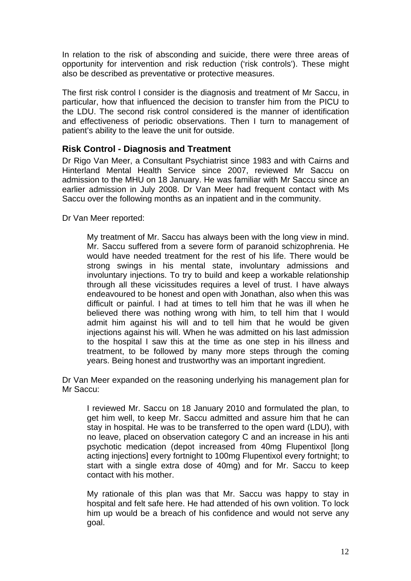In relation to the risk of absconding and suicide, there were three areas of opportunity for intervention and risk reduction ('risk controls'). These might also be described as preventative or protective measures.

The first risk control I consider is the diagnosis and treatment of Mr Saccu, in particular, how that influenced the decision to transfer him from the PICU to the LDU. The second risk control considered is the manner of identification and effectiveness of periodic observations. Then I turn to management of patient's ability to the leave the unit for outside.

### **Risk Control - Diagnosis and Treatment**

Dr Rigo Van Meer, a Consultant Psychiatrist since 1983 and with Cairns and Hinterland Mental Health Service since 2007, reviewed Mr Saccu on admission to the MHU on 18 January. He was familiar with Mr Saccu since an earlier admission in July 2008. Dr Van Meer had frequent contact with Ms Saccu over the following months as an inpatient and in the community.

Dr Van Meer reported:

My treatment of Mr. Saccu has always been with the long view in mind. Mr. Saccu suffered from a severe form of paranoid schizophrenia. He would have needed treatment for the rest of his life. There would be strong swings in his mental state, involuntary admissions and involuntary injections. To try to build and keep a workable relationship through all these vicissitudes requires a level of trust. I have always endeavoured to be honest and open with Jonathan, also when this was difficult or painful. I had at times to tell him that he was ill when he believed there was nothing wrong with him, to tell him that I would admit him against his will and to tell him that he would be given injections against his will. When he was admitted on his last admission to the hospital I saw this at the time as one step in his illness and treatment, to be followed by many more steps through the coming years. Being honest and trustworthy was an important ingredient.

Dr Van Meer expanded on the reasoning underlying his management plan for Mr Saccu:

I reviewed Mr. Saccu on 18 January 2010 and formulated the plan, to get him well, to keep Mr. Saccu admitted and assure him that he can stay in hospital. He was to be transferred to the open ward (LDU), with no leave, placed on observation category C and an increase in his anti psychotic medication (depot increased from 40mg Flupentixol [long acting injections] every fortnight to 100mg Flupentixol every fortnight; to start with a single extra dose of 40mg) and for Mr. Saccu to keep contact with his mother.

My rationale of this plan was that Mr. Saccu was happy to stay in hospital and felt safe here. He had attended of his own volition. To lock him up would be a breach of his confidence and would not serve any goal.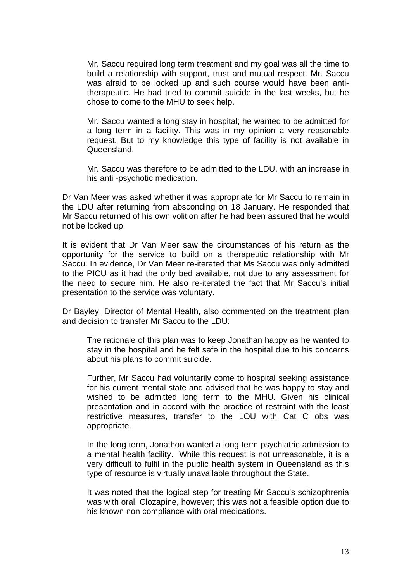Mr. Saccu required long term treatment and my goal was all the time to build a relationship with support, trust and mutual respect. Mr. Saccu was afraid to be locked up and such course would have been antitherapeutic. He had tried to commit suicide in the last weeks, but he chose to come to the MHU to seek help.

Mr. Saccu wanted a long stay in hospital; he wanted to be admitted for a long term in a facility. This was in my opinion a very reasonable request. But to my knowledge this type of facility is not available in Queensland.

Mr. Saccu was therefore to be admitted to the LDU, with an increase in his anti -psychotic medication.

Dr Van Meer was asked whether it was appropriate for Mr Saccu to remain in the LDU after returning from absconding on 18 January. He responded that Mr Saccu returned of his own volition after he had been assured that he would not be locked up.

It is evident that Dr Van Meer saw the circumstances of his return as the opportunity for the service to build on a therapeutic relationship with Mr Saccu. In evidence, Dr Van Meer re-iterated that Ms Saccu was only admitted to the PICU as it had the only bed available, not due to any assessment for the need to secure him. He also re-iterated the fact that Mr Saccu's initial presentation to the service was voluntary.

Dr Bayley, Director of Mental Health, also commented on the treatment plan and decision to transfer Mr Saccu to the LDU:

The rationale of this plan was to keep Jonathan happy as he wanted to stay in the hospital and he felt safe in the hospital due to his concerns about his plans to commit suicide.

Further, Mr Saccu had voluntarily come to hospital seeking assistance for his current mental state and advised that he was happy to stay and wished to be admitted long term to the MHU. Given his clinical presentation and in accord with the practice of restraint with the least restrictive measures, transfer to the LOU with Cat C obs was appropriate.

In the long term, Jonathon wanted a long term psychiatric admission to a mental health facility. While this request is not unreasonable, it is a very difficult to fulfil in the public health system in Queensland as this type of resource is virtually unavailable throughout the State.

It was noted that the logical step for treating Mr Saccu's schizophrenia was with oral Clozapine, however; this was not a feasible option due to his known non compliance with oral medications.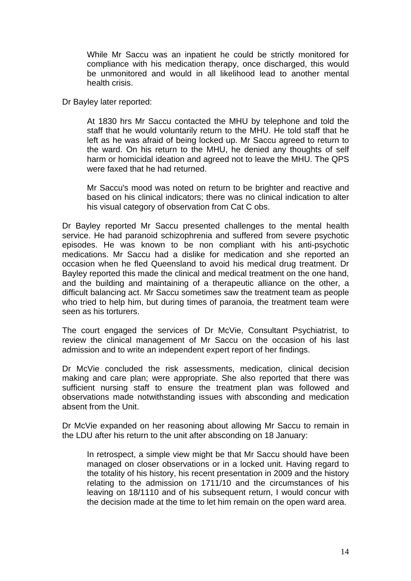While Mr Saccu was an inpatient he could be strictly monitored for compliance with his medication therapy, once discharged, this would be unmonitored and would in all likelihood lead to another mental health crisis.

Dr Bayley later reported:

At 1830 hrs Mr Saccu contacted the MHU by telephone and told the staff that he would voluntarily return to the MHU. He told staff that he left as he was afraid of being locked up. Mr Saccu agreed to return to the ward. On his return to the MHU, he denied any thoughts of self harm or homicidal ideation and agreed not to leave the MHU. The QPS were faxed that he had returned.

Mr Saccu's mood was noted on return to be brighter and reactive and based on his clinical indicators; there was no clinical indication to alter his visual category of observation from Cat C obs.

Dr Bayley reported Mr Saccu presented challenges to the mental health service. He had paranoid schizophrenia and suffered from severe psychotic episodes. He was known to be non compliant with his anti-psychotic medications. Mr Saccu had a dislike for medication and she reported an occasion when he fled Queensland to avoid his medical drug treatment. Dr Bayley reported this made the clinical and medical treatment on the one hand, and the building and maintaining of a therapeutic alliance on the other, a difficult balancing act. Mr Saccu sometimes saw the treatment team as people who tried to help him, but during times of paranoia, the treatment team were seen as his torturers.

The court engaged the services of Dr McVie, Consultant Psychiatrist, to review the clinical management of Mr Saccu on the occasion of his last admission and to write an independent expert report of her findings.

Dr McVie concluded the risk assessments, medication, clinical decision making and care plan; were appropriate. She also reported that there was sufficient nursing staff to ensure the treatment plan was followed and observations made notwithstanding issues with absconding and medication absent from the Unit.

Dr McVie expanded on her reasoning about allowing Mr Saccu to remain in the LDU after his return to the unit after absconding on 18 January:

In retrospect, a simple view might be that Mr Saccu should have been managed on closer observations or in a locked unit. Having regard to the totality of his history, his recent presentation in 2009 and the history relating to the admission on 1711/10 and the circumstances of his leaving on 18/1110 and of his subsequent return, I would concur with the decision made at the time to let him remain on the open ward area.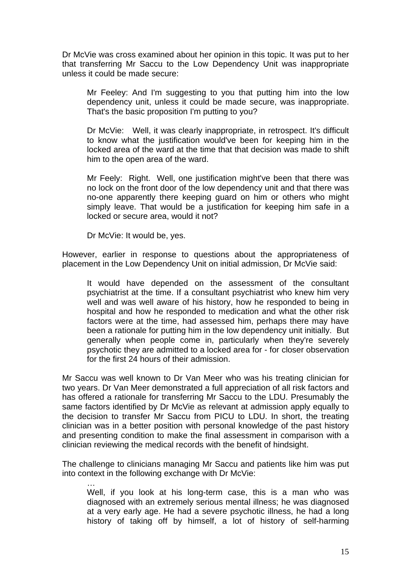Dr McVie was cross examined about her opinion in this topic. It was put to her that transferring Mr Saccu to the Low Dependency Unit was inappropriate unless it could be made secure:

Mr Feeley: And I'm suggesting to you that putting him into the low dependency unit, unless it could be made secure, was inappropriate. That's the basic proposition I'm putting to you?

Dr McVie: Well, it was clearly inappropriate, in retrospect. It's difficult to know what the justification would've been for keeping him in the locked area of the ward at the time that that decision was made to shift him to the open area of the ward.

Mr Feely: Right. Well, one justification might've been that there was no lock on the front door of the low dependency unit and that there was no-one apparently there keeping guard on him or others who might simply leave. That would be a justification for keeping him safe in a locked or secure area, would it not?

Dr McVie: It would be, yes.

However, earlier in response to questions about the appropriateness of placement in the Low Dependency Unit on initial admission, Dr McVie said:

It would have depended on the assessment of the consultant psychiatrist at the time. If a consultant psychiatrist who knew him very well and was well aware of his history, how he responded to being in hospital and how he responded to medication and what the other risk factors were at the time, had assessed him, perhaps there may have been a rationale for putting him in the low dependency unit initially. But generally when people come in, particularly when they're severely psychotic they are admitted to a locked area for - for closer observation for the first 24 hours of their admission.

Mr Saccu was well known to Dr Van Meer who was his treating clinician for two years. Dr Van Meer demonstrated a full appreciation of all risk factors and has offered a rationale for transferring Mr Saccu to the LDU. Presumably the same factors identified by Dr McVie as relevant at admission apply equally to the decision to transfer Mr Saccu from PICU to LDU. In short, the treating clinician was in a better position with personal knowledge of the past history and presenting condition to make the final assessment in comparison with a clinician reviewing the medical records with the benefit of hindsight.

The challenge to clinicians managing Mr Saccu and patients like him was put into context in the following exchange with Dr McVie:

… Well, if you look at his long-term case, this is a man who was diagnosed with an extremely serious mental illness; he was diagnosed at a very early age. He had a severe psychotic illness, he had a long history of taking off by himself, a lot of history of self-harming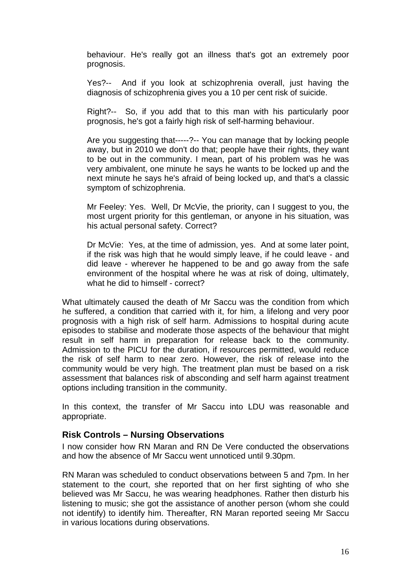behaviour. He's really got an illness that's got an extremely poor prognosis.

Yes?-- And if you look at schizophrenia overall, just having the diagnosis of schizophrenia gives you a 10 per cent risk of suicide.

Right?-- So, if you add that to this man with his particularly poor prognosis, he's got a fairly high risk of self-harming behaviour.

Are you suggesting that-----?-- You can manage that by locking people away, but in 2010 we don't do that; people have their rights, they want to be out in the community. I mean, part of his problem was he was very ambivalent, one minute he says he wants to be locked up and the next minute he says he's afraid of being locked up, and that's a classic symptom of schizophrenia.

Mr Feeley: Yes. Well, Dr McVie, the priority, can I suggest to you, the most urgent priority for this gentleman, or anyone in his situation, was his actual personal safety. Correct?

Dr McVie: Yes, at the time of admission, yes. And at some later point, if the risk was high that he would simply leave, if he could leave - and did leave - wherever he happened to be and go away from the safe environment of the hospital where he was at risk of doing, ultimately, what he did to himself - correct?

What ultimately caused the death of Mr Saccu was the condition from which he suffered, a condition that carried with it, for him, a lifelong and very poor prognosis with a high risk of self harm. Admissions to hospital during acute episodes to stabilise and moderate those aspects of the behaviour that might result in self harm in preparation for release back to the community. Admission to the PICU for the duration, if resources permitted, would reduce the risk of self harm to near zero. However, the risk of release into the community would be very high. The treatment plan must be based on a risk assessment that balances risk of absconding and self harm against treatment options including transition in the community.

In this context, the transfer of Mr Saccu into LDU was reasonable and appropriate.

#### **Risk Controls – Nursing Observations**

I now consider how RN Maran and RN De Vere conducted the observations and how the absence of Mr Saccu went unnoticed until 9.30pm.

RN Maran was scheduled to conduct observations between 5 and 7pm. In her statement to the court, she reported that on her first sighting of who she believed was Mr Saccu, he was wearing headphones. Rather then disturb his listening to music; she got the assistance of another person (whom she could not identify) to identify him. Thereafter, RN Maran reported seeing Mr Saccu in various locations during observations.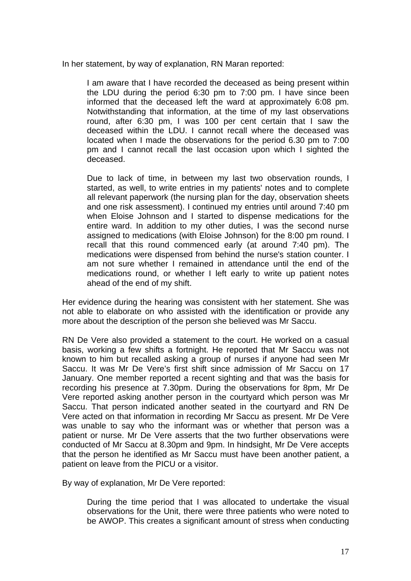In her statement, by way of explanation, RN Maran reported:

I am aware that I have recorded the deceased as being present within the LDU during the period 6:30 pm to 7:00 pm. I have since been informed that the deceased left the ward at approximately 6:08 pm. Notwithstanding that information, at the time of my last observations round, after 6:30 pm, I was 100 per cent certain that I saw the deceased within the LDU. I cannot recall where the deceased was located when I made the observations for the period 6.30 pm to 7:00 pm and I cannot recall the last occasion upon which I sighted the deceased.

Due to lack of time, in between my last two observation rounds, I started, as well, to write entries in my patients' notes and to complete all relevant paperwork (the nursing plan for the day, observation sheets and one risk assessment). I continued my entries until around 7:40 pm when Eloise Johnson and I started to dispense medications for the entire ward. In addition to my other duties, I was the second nurse assigned to medications (with Eloise Johnson) for the 8:00 pm round. I recall that this round commenced early (at around 7:40 pm). The medications were dispensed from behind the nurse's station counter. I am not sure whether I remained in attendance until the end of the medications round, or whether I left early to write up patient notes ahead of the end of my shift.

Her evidence during the hearing was consistent with her statement. She was not able to elaborate on who assisted with the identification or provide any more about the description of the person she believed was Mr Saccu.

RN De Vere also provided a statement to the court. He worked on a casual basis, working a few shifts a fortnight. He reported that Mr Saccu was not known to him but recalled asking a group of nurses if anyone had seen Mr Saccu. It was Mr De Vere's first shift since admission of Mr Saccu on 17 January. One member reported a recent sighting and that was the basis for recording his presence at 7.30pm. During the observations for 8pm, Mr De Vere reported asking another person in the courtyard which person was Mr Saccu. That person indicated another seated in the courtyard and RN De Vere acted on that information in recording Mr Saccu as present. Mr De Vere was unable to say who the informant was or whether that person was a patient or nurse. Mr De Vere asserts that the two further observations were conducted of Mr Saccu at 8.30pm and 9pm. In hindsight, Mr De Vere accepts that the person he identified as Mr Saccu must have been another patient, a patient on leave from the PICU or a visitor.

By way of explanation, Mr De Vere reported:

During the time period that I was allocated to undertake the visual observations for the Unit, there were three patients who were noted to be AWOP. This creates a significant amount of stress when conducting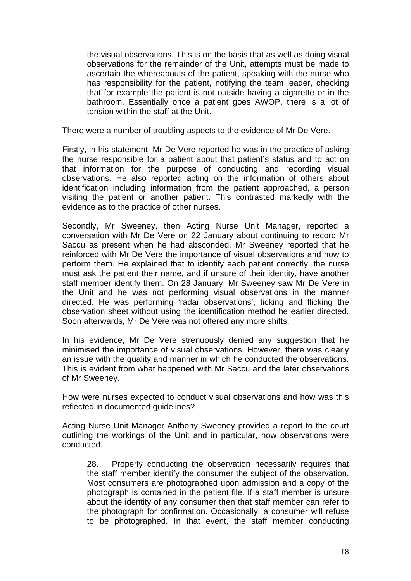the visual observations. This is on the basis that as well as doing visual observations for the remainder of the Unit, attempts must be made to ascertain the whereabouts of the patient, speaking with the nurse who has responsibility for the patient, notifying the team leader, checking that for example the patient is not outside having a cigarette or in the bathroom. Essentially once a patient goes AWOP, there is a lot of tension within the staff at the Unit.

There were a number of troubling aspects to the evidence of Mr De Vere.

Firstly, in his statement, Mr De Vere reported he was in the practice of asking the nurse responsible for a patient about that patient's status and to act on that information for the purpose of conducting and recording visual observations. He also reported acting on the information of others about identification including information from the patient approached, a person visiting the patient or another patient. This contrasted markedly with the evidence as to the practice of other nurses.

Secondly, Mr Sweeney, then Acting Nurse Unit Manager, reported a conversation with Mr De Vere on 22 January about continuing to record Mr Saccu as present when he had absconded. Mr Sweeney reported that he reinforced with Mr De Vere the importance of visual observations and how to perform them. He explained that to identify each patient correctly, the nurse must ask the patient their name, and if unsure of their identity, have another staff member identify them. On 28 January, Mr Sweeney saw Mr De Vere in the Unit and he was not performing visual observations in the manner directed. He was performing 'radar observations', ticking and flicking the observation sheet without using the identification method he earlier directed. Soon afterwards, Mr De Vere was not offered any more shifts.

In his evidence, Mr De Vere strenuously denied any suggestion that he minimised the importance of visual observations. However, there was clearly an issue with the quality and manner in which he conducted the observations. This is evident from what happened with Mr Saccu and the later observations of Mr Sweeney.

How were nurses expected to conduct visual observations and how was this reflected in documented guidelines?

Acting Nurse Unit Manager Anthony Sweeney provided a report to the court outlining the workings of the Unit and in particular, how observations were conducted.

28. Properly conducting the observation necessarily requires that the staff member identify the consumer the subject of the observation. Most consumers are photographed upon admission and a copy of the photograph is contained in the patient file. If a staff member is unsure about the identity of any consumer then that staff member can refer to the photograph for confirmation. Occasionally, a consumer will refuse to be photographed. In that event, the staff member conducting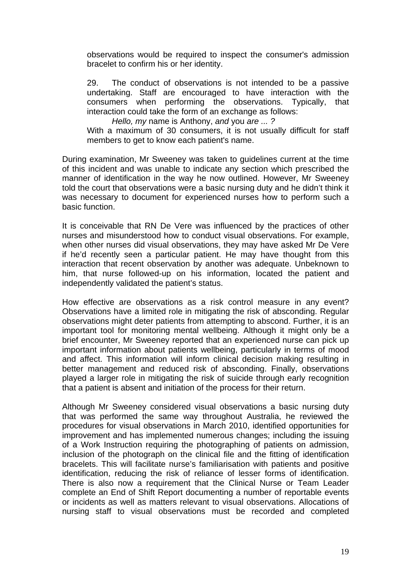observations would be required to inspect the consumer's admission bracelet to confirm his or her identity.

29. The conduct of observations is not intended to be a passive undertaking. Staff are encouraged to have interaction with the consumers when performing the observations. Typically, that interaction could take the form of an exchange as follows:

*Hello, my* name is Anthony, *and* you *are ... ?* 

With a maximum of 30 consumers, it is not usually difficult for staff members to get to know each patient's name.

During examination, Mr Sweeney was taken to guidelines current at the time of this incident and was unable to indicate any section which prescribed the manner of identification in the way he now outlined. However, Mr Sweeney told the court that observations were a basic nursing duty and he didn't think it was necessary to document for experienced nurses how to perform such a basic function.

It is conceivable that RN De Vere was influenced by the practices of other nurses and misunderstood how to conduct visual observations. For example, when other nurses did visual observations, they may have asked Mr De Vere if he'd recently seen a particular patient. He may have thought from this interaction that recent observation by another was adequate. Unbeknown to him, that nurse followed-up on his information, located the patient and independently validated the patient's status.

How effective are observations as a risk control measure in any event? Observations have a limited role in mitigating the risk of absconding. Regular observations might deter patients from attempting to abscond. Further, it is an important tool for monitoring mental wellbeing. Although it might only be a brief encounter, Mr Sweeney reported that an experienced nurse can pick up important information about patients wellbeing, particularly in terms of mood and affect. This information will inform clinical decision making resulting in better management and reduced risk of absconding. Finally, observations played a larger role in mitigating the risk of suicide through early recognition that a patient is absent and initiation of the process for their return.

Although Mr Sweeney considered visual observations a basic nursing duty that was performed the same way throughout Australia, he reviewed the procedures for visual observations in March 2010, identified opportunities for improvement and has implemented numerous changes; including the issuing of a Work Instruction requiring the photographing of patients on admission, inclusion of the photograph on the clinical file and the fitting of identification bracelets. This will facilitate nurse's familiarisation with patients and positive identification, reducing the risk of reliance of lesser forms of identification. There is also now a requirement that the Clinical Nurse or Team Leader complete an End of Shift Report documenting a number of reportable events or incidents as well as matters relevant to visual observations. Allocations of nursing staff to visual observations must be recorded and completed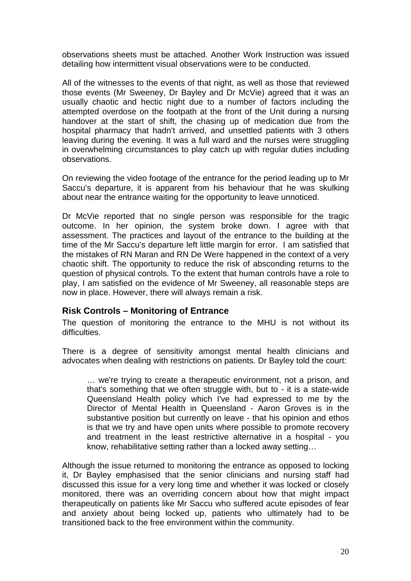observations sheets must be attached. Another Work Instruction was issued detailing how intermittent visual observations were to be conducted.

All of the witnesses to the events of that night, as well as those that reviewed those events (Mr Sweeney, Dr Bayley and Dr McVie) agreed that it was an usually chaotic and hectic night due to a number of factors including the attempted overdose on the footpath at the front of the Unit during a nursing handover at the start of shift, the chasing up of medication due from the hospital pharmacy that hadn't arrived, and unsettled patients with 3 others leaving during the evening. It was a full ward and the nurses were struggling in overwhelming circumstances to play catch up with regular duties including observations.

On reviewing the video footage of the entrance for the period leading up to Mr Saccu's departure, it is apparent from his behaviour that he was skulking about near the entrance waiting for the opportunity to leave unnoticed.

Dr McVie reported that no single person was responsible for the tragic outcome. In her opinion, the system broke down. I agree with that assessment. The practices and layout of the entrance to the building at the time of the Mr Saccu's departure left little margin for error. I am satisfied that the mistakes of RN Maran and RN De Were happened in the context of a very chaotic shift. The opportunity to reduce the risk of absconding returns to the question of physical controls. To the extent that human controls have a role to play, I am satisfied on the evidence of Mr Sweeney, all reasonable steps are now in place. However, there will always remain a risk.

#### **Risk Controls – Monitoring of Entrance**

The question of monitoring the entrance to the MHU is not without its difficulties.

There is a degree of sensitivity amongst mental health clinicians and advocates when dealing with restrictions on patients. Dr Bayley told the court:

… we're trying to create a therapeutic environment, not a prison, and that's something that we often struggle with, but to - it is a state-wide Queensland Health policy which I've had expressed to me by the Director of Mental Health in Queensland - Aaron Groves is in the substantive position but currently on leave - that his opinion and ethos is that we try and have open units where possible to promote recovery and treatment in the least restrictive alternative in a hospital - you know, rehabilitative setting rather than a locked away setting…

Although the issue returned to monitoring the entrance as opposed to locking it, Dr Bayley emphasised that the senior clinicians and nursing staff had discussed this issue for a very long time and whether it was locked or closely monitored, there was an overriding concern about how that might impact therapeutically on patients like Mr Saccu who suffered acute episodes of fear and anxiety about being locked up, patients who ultimately had to be transitioned back to the free environment within the community.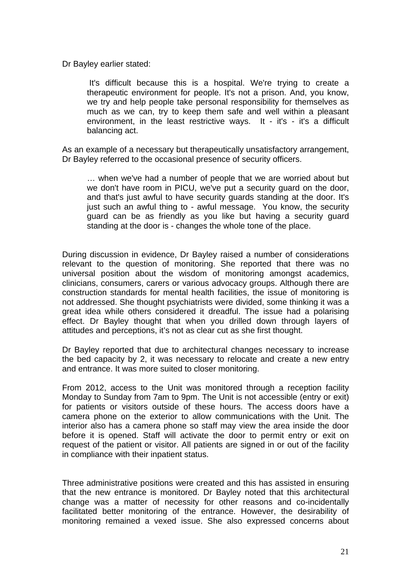Dr Bayley earlier stated:

 It's difficult because this is a hospital. We're trying to create a therapeutic environment for people. It's not a prison. And, you know, we try and help people take personal responsibility for themselves as much as we can, try to keep them safe and well within a pleasant environment, in the least restrictive ways. It - it's - it's a difficult balancing act.

As an example of a necessary but therapeutically unsatisfactory arrangement, Dr Bayley referred to the occasional presence of security officers.

… when we've had a number of people that we are worried about but we don't have room in PICU, we've put a security guard on the door, and that's just awful to have security guards standing at the door. It's just such an awful thing to - awful message. You know, the security guard can be as friendly as you like but having a security guard standing at the door is - changes the whole tone of the place.

During discussion in evidence, Dr Bayley raised a number of considerations relevant to the question of monitoring. She reported that there was no universal position about the wisdom of monitoring amongst academics, clinicians, consumers, carers or various advocacy groups. Although there are construction standards for mental health facilities, the issue of monitoring is not addressed. She thought psychiatrists were divided, some thinking it was a great idea while others considered it dreadful. The issue had a polarising effect. Dr Bayley thought that when you drilled down through layers of attitudes and perceptions, it's not as clear cut as she first thought.

Dr Bayley reported that due to architectural changes necessary to increase the bed capacity by 2, it was necessary to relocate and create a new entry and entrance. It was more suited to closer monitoring.

From 2012, access to the Unit was monitored through a reception facility Monday to Sunday from 7am to 9pm. The Unit is not accessible (entry or exit) for patients or visitors outside of these hours. The access doors have a camera phone on the exterior to allow communications with the Unit. The interior also has a camera phone so staff may view the area inside the door before it is opened. Staff will activate the door to permit entry or exit on request of the patient or visitor. All patients are signed in or out of the facility in compliance with their inpatient status.

Three administrative positions were created and this has assisted in ensuring that the new entrance is monitored. Dr Bayley noted that this architectural change was a matter of necessity for other reasons and co-incidentally facilitated better monitoring of the entrance. However, the desirability of monitoring remained a vexed issue. She also expressed concerns about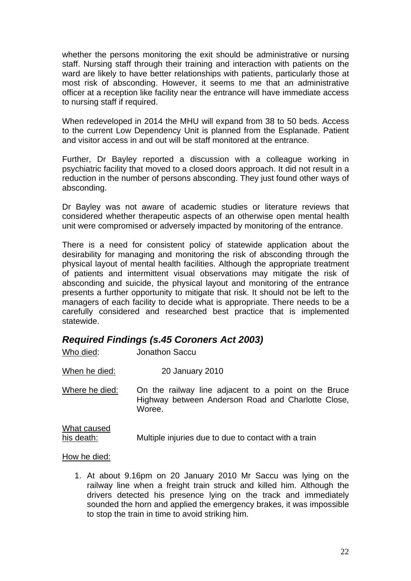whether the persons monitoring the exit should be administrative or nursing staff. Nursing staff through their training and interaction with patients on the ward are likely to have better relationships with patients, particularly those at most risk of absconding. However, it seems to me that an administrative officer at a reception like facility near the entrance will have immediate access to nursing staff if required.

When redeveloped in 2014 the MHU will expand from 38 to 50 beds. Access to the current Low Dependency Unit is planned from the Esplanade. Patient and visitor access in and out will be staff monitored at the entrance.

Further, Dr Bayley reported a discussion with a colleague working in psychiatric facility that moved to a closed doors approach. It did not result in a reduction in the number of persons absconding. They just found other ways of absconding.

Dr Bayley was not aware of academic studies or literature reviews that considered whether therapeutic aspects of an otherwise open mental health unit were compromised or adversely impacted by monitoring of the entrance.

There is a need for consistent policy of statewide application about the desirability for managing and monitoring the risk of absconding through the physical layout of mental health facilities. Although the appropriate treatment of patients and intermittent visual observations may mitigate the risk of absconding and suicide, the physical layout and monitoring of the entrance presents a further opportunity to mitigate that risk. It should not be left to the managers of each facility to decide what is appropriate. There needs to be a carefully considered and researched best practice that is implemented statewide.

#### *Required Findings (s.45 Coroners Act 2003)*

| Who died:                 | <b>Jonathon Saccu</b>                                                                                                |
|---------------------------|----------------------------------------------------------------------------------------------------------------------|
| When he died:             | 20 January 2010                                                                                                      |
| Where he died:            | On the railway line adjacent to a point on the Bruce<br>Highway between Anderson Road and Charlotte Close,<br>Woree. |
| What caused<br>his death: | Multiple injuries due to due to contact with a train                                                                 |

#### How he died:

1. At about 9.16pm on 20 January 2010 Mr Saccu was lying on the railway line when a freight train struck and killed him. Although the drivers detected his presence lying on the track and immediately sounded the horn and applied the emergency brakes, it was impossible to stop the train in time to avoid striking him.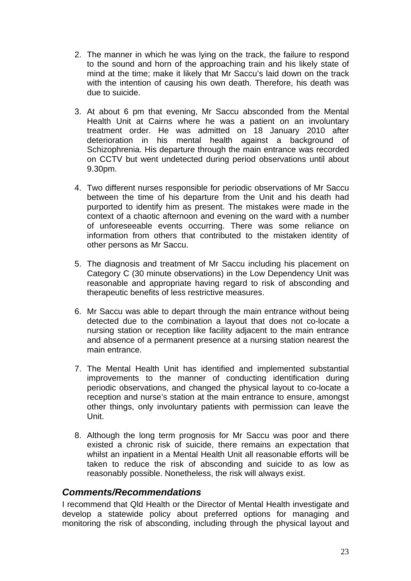- 2. The manner in which he was lying on the track, the failure to respond to the sound and horn of the approaching train and his likely state of mind at the time; make it likely that Mr Saccu's laid down on the track with the intention of causing his own death. Therefore, his death was due to suicide.
- 3. At about 6 pm that evening, Mr Saccu absconded from the Mental Health Unit at Cairns where he was a patient on an involuntary treatment order. He was admitted on 18 January 2010 after deterioration in his mental health against a background of Schizophrenia. His departure through the main entrance was recorded on CCTV but went undetected during period observations until about 9.30pm.
- 4. Two different nurses responsible for periodic observations of Mr Saccu between the time of his departure from the Unit and his death had purported to identify him as present. The mistakes were made in the context of a chaotic afternoon and evening on the ward with a number of unforeseeable events occurring. There was some reliance on information from others that contributed to the mistaken identity of other persons as Mr Saccu.
- 5. The diagnosis and treatment of Mr Saccu including his placement on Category C (30 minute observations) in the Low Dependency Unit was reasonable and appropriate having regard to risk of absconding and therapeutic benefits of less restrictive measures.
- 6. Mr Saccu was able to depart through the main entrance without being detected due to the combination a layout that does not co-locate a nursing station or reception like facility adjacent to the main entrance and absence of a permanent presence at a nursing station nearest the main entrance.
- 7. The Mental Health Unit has identified and implemented substantial improvements to the manner of conducting identification during periodic observations, and changed the physical layout to co-locate a reception and nurse's station at the main entrance to ensure, amongst other things, only involuntary patients with permission can leave the Unit.
- 8. Although the long term prognosis for Mr Saccu was poor and there existed a chronic risk of suicide, there remains an expectation that whilst an inpatient in a Mental Health Unit all reasonable efforts will be taken to reduce the risk of absconding and suicide to as low as reasonably possible. Nonetheless, the risk will always exist.

#### *Comments/Recommendations*

I recommend that Qld Health or the Director of Mental Health investigate and develop a statewide policy about preferred options for managing and monitoring the risk of absconding, including through the physical layout and